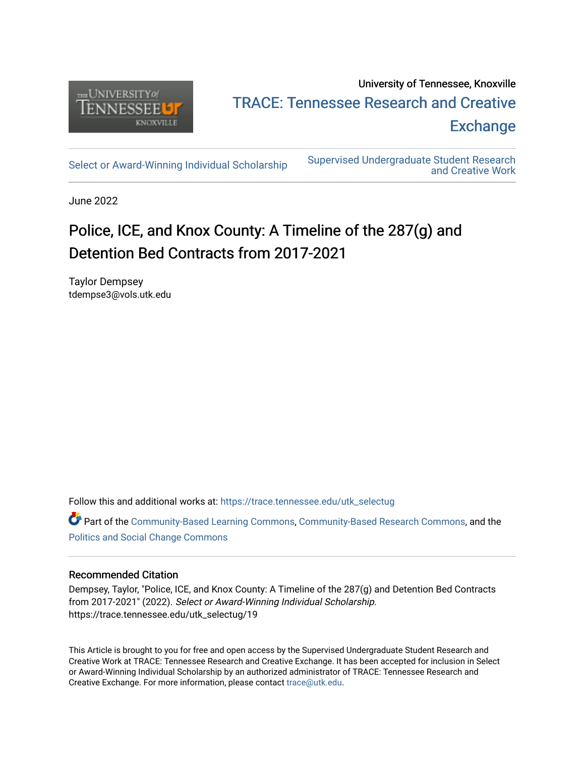

## University of Tennessee, Knoxville TRACE: T[ennessee Research and Cr](https://trace.tennessee.edu/)eative **Exchange**

[Select or Award-Winning Individual Scholarship](https://trace.tennessee.edu/utk_selectug) Supervised Undergraduate Student Research [and Creative Work](https://trace.tennessee.edu/utk_supug) 

June 2022

# Police, ICE, and Knox County: A Timeline of the 287(g) and Detention Bed Contracts from 2017-2021

Taylor Dempsey tdempse3@vols.utk.edu

Follow this and additional works at: [https://trace.tennessee.edu/utk\\_selectug](https://trace.tennessee.edu/utk_selectug?utm_source=trace.tennessee.edu%2Futk_selectug%2F19&utm_medium=PDF&utm_campaign=PDFCoverPages)

Part of the [Community-Based Learning Commons,](https://network.bepress.com/hgg/discipline/1046?utm_source=trace.tennessee.edu%2Futk_selectug%2F19&utm_medium=PDF&utm_campaign=PDFCoverPages) [Community-Based Research Commons](https://network.bepress.com/hgg/discipline/1047?utm_source=trace.tennessee.edu%2Futk_selectug%2F19&utm_medium=PDF&utm_campaign=PDFCoverPages), and the [Politics and Social Change Commons](https://network.bepress.com/hgg/discipline/425?utm_source=trace.tennessee.edu%2Futk_selectug%2F19&utm_medium=PDF&utm_campaign=PDFCoverPages) 

### Recommended Citation

Dempsey, Taylor, "Police, ICE, and Knox County: A Timeline of the 287(g) and Detention Bed Contracts from 2017-2021" (2022). Select or Award-Winning Individual Scholarship. https://trace.tennessee.edu/utk\_selectug/19

This Article is brought to you for free and open access by the Supervised Undergraduate Student Research and Creative Work at TRACE: Tennessee Research and Creative Exchange. It has been accepted for inclusion in Select or Award-Winning Individual Scholarship by an authorized administrator of TRACE: Tennessee Research and Creative Exchange. For more information, please contact [trace@utk.edu](mailto:trace@utk.edu).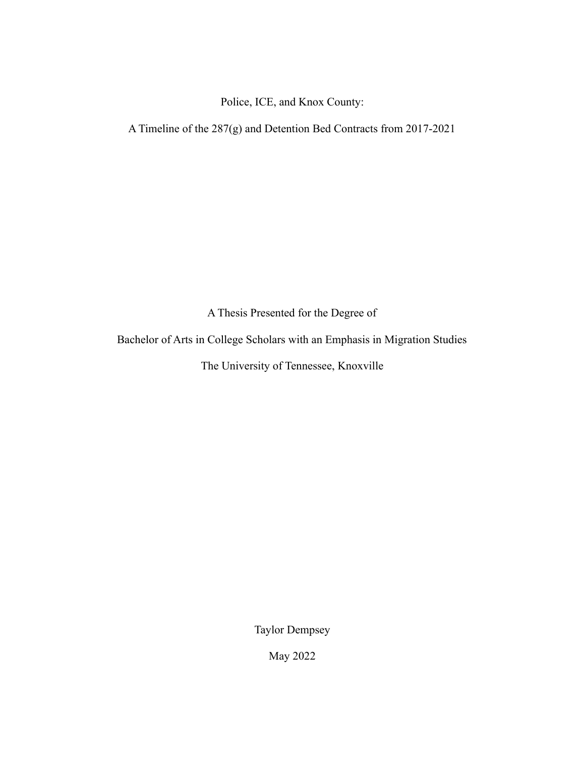Police, ICE, and Knox County:

A Timeline of the 287(g) and Detention Bed Contracts from 2017-2021

A Thesis Presented for the Degree of

Bachelor of Arts in College Scholars with an Emphasis in Migration Studies

The University of Tennessee, Knoxville

Taylor Dempsey

May 2022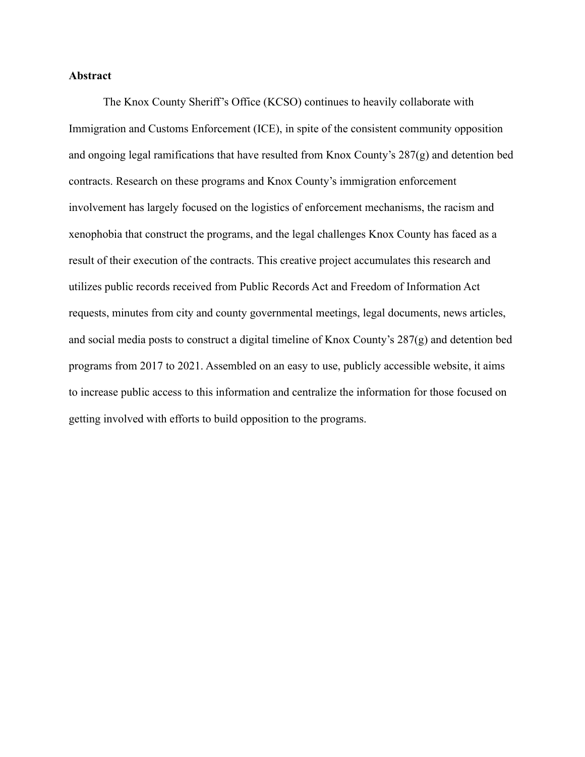#### **Abstract**

The Knox County Sheriff's Office (KCSO) continues to heavily collaborate with Immigration and Customs Enforcement (ICE), in spite of the consistent community opposition and ongoing legal ramifications that have resulted from Knox County's 287(g) and detention bed contracts. Research on these programs and Knox County's immigration enforcement involvement has largely focused on the logistics of enforcement mechanisms, the racism and xenophobia that construct the programs, and the legal challenges Knox County has faced as a result of their execution of the contracts. This creative project accumulates this research and utilizes public records received from Public Records Act and Freedom of Information Act requests, minutes from city and county governmental meetings, legal documents, news articles, and social media posts to construct a digital timeline of Knox County's 287(g) and detention bed programs from 2017 to 2021. Assembled on an easy to use, publicly accessible website, it aims to increase public access to this information and centralize the information for those focused on getting involved with efforts to build opposition to the programs.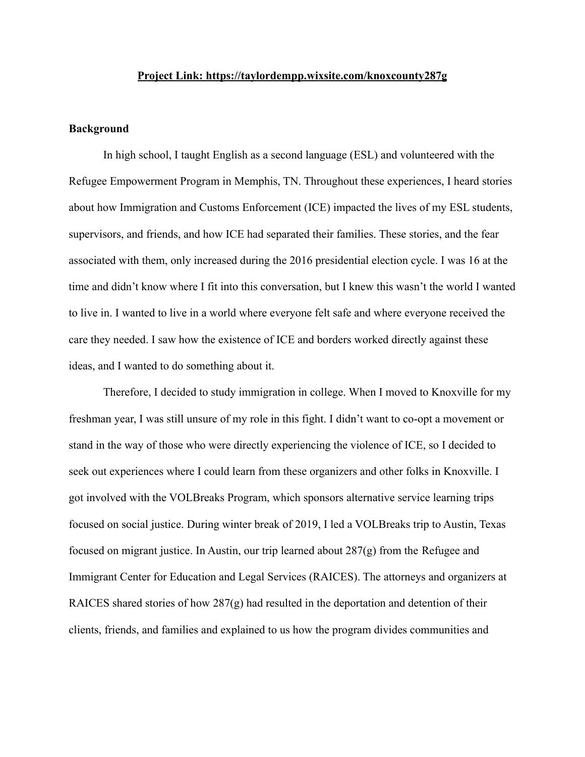#### **Project Link: <https://taylordempp.wixsite.com/knoxcounty287g>**

#### **Background**

In high school, I taught English as a second language (ESL) and volunteered with the Refugee Empowerment Program in Memphis, TN. Throughout these experiences, I heard stories about how Immigration and Customs Enforcement (ICE) impacted the lives of my ESL students, supervisors, and friends, and how ICE had separated their families. These stories, and the fear associated with them, only increased during the 2016 presidential election cycle. I was 16 at the time and didn't know where I fit into this conversation, but I knew this wasn't the world I wanted to live in. I wanted to live in a world where everyone felt safe and where everyone received the care they needed. I saw how the existence of ICE and borders worked directly against these ideas, and I wanted to do something about it.

Therefore, I decided to study immigration in college. When I moved to Knoxville for my freshman year, I was still unsure of my role in this fight. I didn't want to co-opt a movement or stand in the way of those who were directly experiencing the violence of ICE, so I decided to seek out experiences where I could learn from these organizers and other folks in Knoxville. I got involved with the VOLBreaks Program, which sponsors alternative service learning trips focused on social justice. During winter break of 2019, I led a VOLBreaks trip to Austin, Texas focused on migrant justice. In Austin, our trip learned about 287(g) from the [Refugee and](https://www.raicestexas.org/ways-to-give/donate/?ms=em20200302_billboard&emci=b602c144-c55c-ea11-a94c-00155d039e74&emdi=be504c78-f35c-ea11-a94c-00155d039e74) [Immigrant Center for Education and Legal Services \(RAICES\)](https://www.raicestexas.org/ways-to-give/donate/?ms=em20200302_billboard&emci=b602c144-c55c-ea11-a94c-00155d039e74&emdi=be504c78-f35c-ea11-a94c-00155d039e74). The attorneys and organizers at RAICES shared stories of how 287(g) had resulted in the deportation and detention of their clients, friends, and families and explained to us how the program divides communities and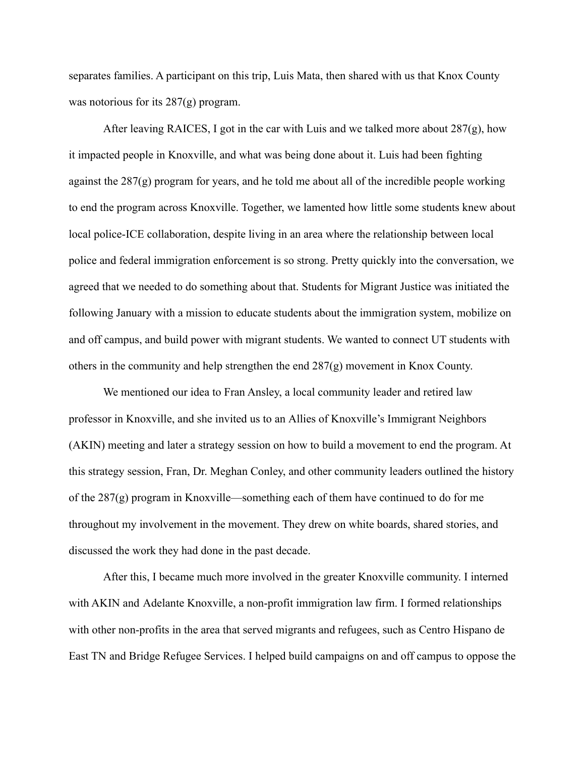separates families. A participant on this trip, Luis Mata, then shared with us that Knox County was notorious for its 287(g) program.

After leaving RAICES, I got in the car with Luis and we talked more about  $287(g)$ , how it impacted people in Knoxville, and what was being done about it. Luis had been fighting against the 287(g) program for years, and he told me about all of the incredible people working to end the program across Knoxville. Together, we lamented how little some students knew about local police-ICE collaboration, despite living in an area where the relationship between local police and federal immigration enforcement is so strong. Pretty quickly into the conversation, we agreed that we needed to do something about that. [Students for Migrant Justice](https://www.instagram.com/utk_smj/?hl=en) was initiated the following January with a mission to educate students about the immigration system, mobilize on and off campus, and build power with migrant students. We wanted to connect UT students with others in the community and help strengthen the end 287(g) movement in Knox County.

We mentioned our idea to Fran Ansley, a local community leader and retired law professor in Knoxville, and she invited us to an Allies [of Knoxville's Immigrant Neighbors](https://weareakin.wordpress.com/about/#:~:text=AKIN%20(Allies%20of%20Knoxville) [\(AKIN\)](https://weareakin.wordpress.com/about/#:~:text=AKIN%20(Allies%20of%20Knoxville) meeting and later a strategy session on how to build a movement to end the program. At this strategy session, Fran, Dr. Meghan Conley, and other community leaders outlined the history of the 287(g) program in Knoxville—something each of them have continued to do for me throughout my involvement in the movement. They drew on white boards, shared stories, and discussed the work they had done in the past decade.

After this, I became much more involved in the greater Knoxville community. I interned with AKIN and [Adelante Knoxville,](http://www.adelanteknox.org/) a non-profit immigration law firm. I formed relationships with other non-profits in the area that served migrants and refugees, such as [Centro Hispano de](https://www.centrohispanotn.org/) [East TN](https://www.centrohispanotn.org/) and [Bridge Refugee Services](https://www.bridgerefugees.org/). I helped build campaigns on and off campus to oppose the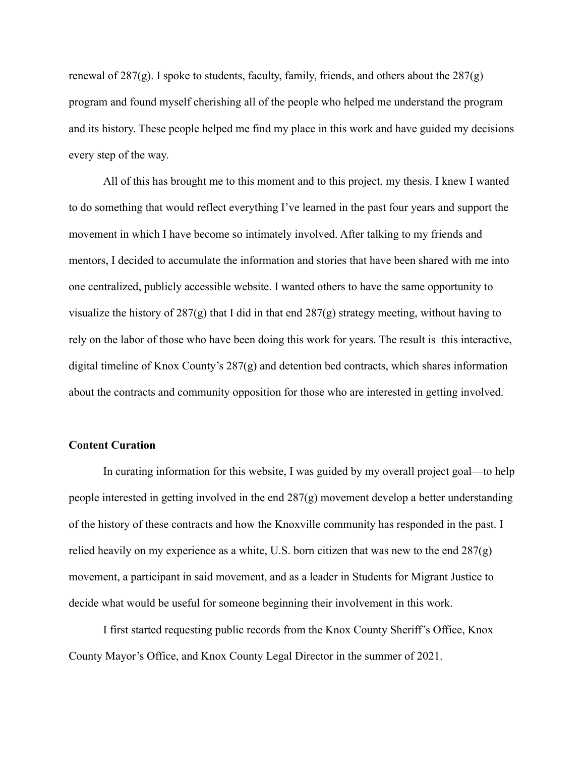renewal of  $287(g)$ . I spoke to students, faculty, family, friends, and others about the  $287(g)$ program and found myself cherishing all of the people who helped me understand the program and its history. These people helped me find my place in this work and have guided my decisions every step of the way.

All of this has brought me to this moment and to this project, my thesis. I knew I wanted to do something that would reflect everything I've learned in the past four years and support the movement in which I have become so intimately involved. After talking to my friends and mentors, I decided to accumulate the information and stories that have been shared with me into one centralized, publicly accessible website. I wanted others to have the same opportunity to visualize the history of 287(g) that I did in that end 287(g) strategy meeting, without having to rely on the labor of those who have been doing this work for years. The result is this interactive, digital timeline of Knox County's 287(g) and detention bed contracts, which shares information about the contracts and community opposition for those who are interested in getting involved.

#### **Content Curation**

In curating information for this website, I was guided by my overall project goal—to help people interested in getting involved in the end 287(g) movement develop a better understanding of the history of these contracts and how the Knoxville community has responded in the past. I relied heavily on my experience as a white, U.S. born citizen that was new to the end 287(g) movement, a participant in said movement, and as a leader in Students for Migrant Justice to decide what would be useful for someone beginning their involvement in this work.

I first started requesting public records from the Knox County Sheriff's Office, Knox County Mayor's Office, and Knox County Legal Director in the summer of 2021.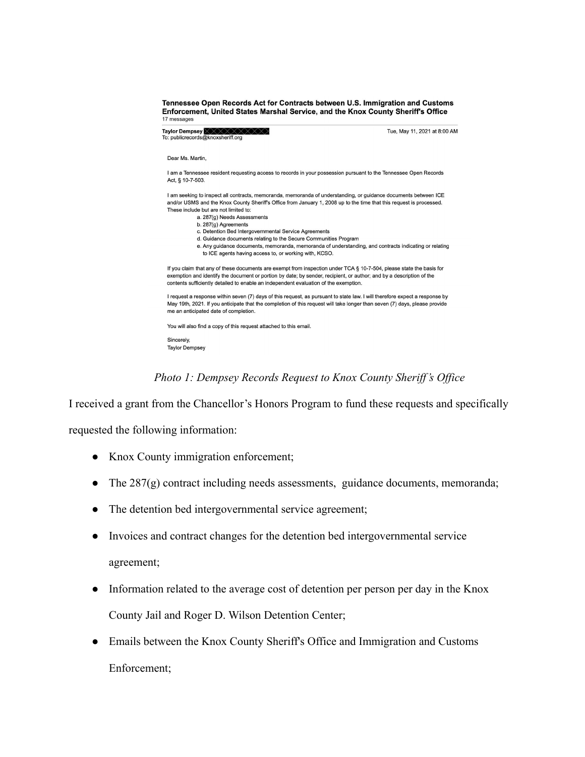#### Tennessee Open Records Act for Contracts between U.S. Immigration and Customs Enforcement, United States Marshal Service, and the Knox County Sheriff's Office 17 messages

Taylor Dempsey XXXXXXXXX<br>To: publicrecords@knoxsheriff.org

Tue, May 11, 2021 at 8:00 AM

Dear Ms Martin

I am a Tennessee resident requesting access to records in your possession pursuant to the Tennessee Open Records Act, § 10-7-503.

I am seeking to inspect all contracts, memoranda, memoranda of understanding, or guidance documents between ICE and/or USMS and the Knox County Sheriff's Office from January 1, 2008 up to the time that this request is processed. These include but are not limited to:

- a. 287(g) Needs Assessments
	- b. 287(g) Agreements
	- c. Detention Bed Intergovernmental Service Agreements
	- d. Guidance documents relating to the Secure Communities Program

e. Any guidance documents, memoranda, memoranda of understanding, and contracts indicating or relating to ICE agents having access to, or working with, KCSO.

If you claim that any of these documents are exempt from inspection under TCA § 10-7-504, please state the basis for exemption and identify the document or portion by date; by sender, recipient, or author; and by a description of the contents sufficiently detailed to enable an independent evaluation of the exemption.

I request a response within seven (7) days of this request, as pursuant to state law. I will therefore expect a response by May 19th, 2021. If you anticipate that the completion of this request will take longer than seven (7) days, please provide me an anticipated date of completion.

You will also find a copy of this request attached to this email.

Sincerely. **Taylor Dempsey** 

*Photo 1: Dempsey Records Request to Knox County Sheriff's Office*

I received a grant from the Chancellor's Honors Program to fund these requests and specifically

requested the following information:

- Knox County immigration enforcement;
- The 287(g) contract including needs assessments, guidance documents, memoranda;
- The detention bed intergovernmental service agreement;
- Invoices and contract changes for the detention bed intergovernmental service agreement;
- Information related to the average cost of detention per person per day in the Knox County Jail and Roger D. Wilson Detention Center;
- Emails between the Knox County Sheriff's Office and Immigration and Customs Enforcement;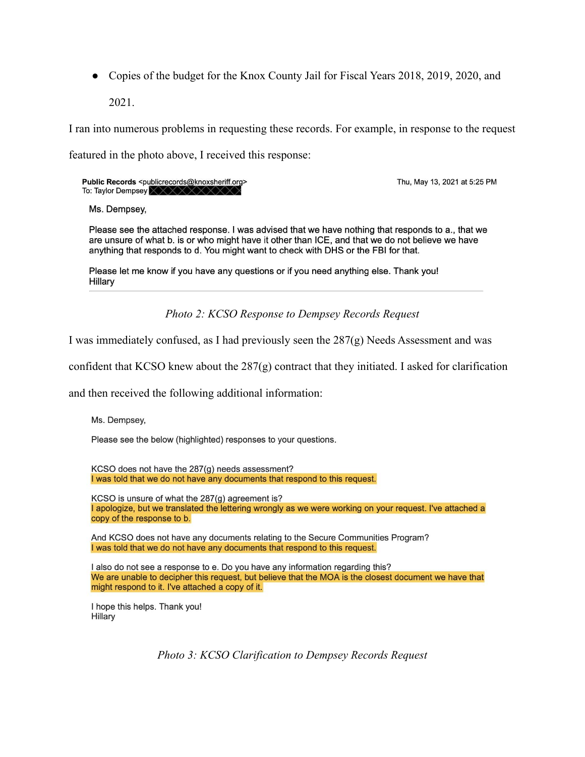• Copies of the budget for the Knox County Jail for Fiscal Years 2018, 2019, 2020, and 2021.

I ran into numerous problems in requesting these records. For example, in response to the request featured in the photo above, I received this response:

Public Records <publicrecords@knoxsheriff.org> To: Taylor Dempsey

Thu, May 13, 2021 at 5:25 PM

Ms. Dempsey,

Please see the attached response. I was advised that we have nothing that responds to a., that we are unsure of what b. is or who might have it other than ICE, and that we do not believe we have anything that responds to d. You might want to check with DHS or the FBI for that.

Please let me know if you have any questions or if you need anything else. Thank you! Hillary

*Photo 2: KCSO Response to Dempsey Records Request*

I was immediately confused, as I had previously seen the 287(g) Needs Assessment and was

confident that KCSO knew about the 287(g) contract that they initiated. I asked for clarification

and then received the following additional information:

Ms. Dempsey,

Please see the below (highlighted) responses to your questions.

KCSO does not have the 287(g) needs assessment? I was told that we do not have any documents that respond to this request.

KCSO is unsure of what the 287(g) agreement is? I apologize, but we translated the lettering wrongly as we were working on your request. I've attached a copy of the response to b.

And KCSO does not have any documents relating to the Secure Communities Program? I was told that we do not have any documents that respond to this request.

I also do not see a response to e. Do you have any information regarding this? We are unable to decipher this request, but believe that the MOA is the closest document we have that might respond to it. I've attached a copy of it.

I hope this helps. Thank you! Hillary

*Photo 3: KCSO Clarification to Dempsey Records Request*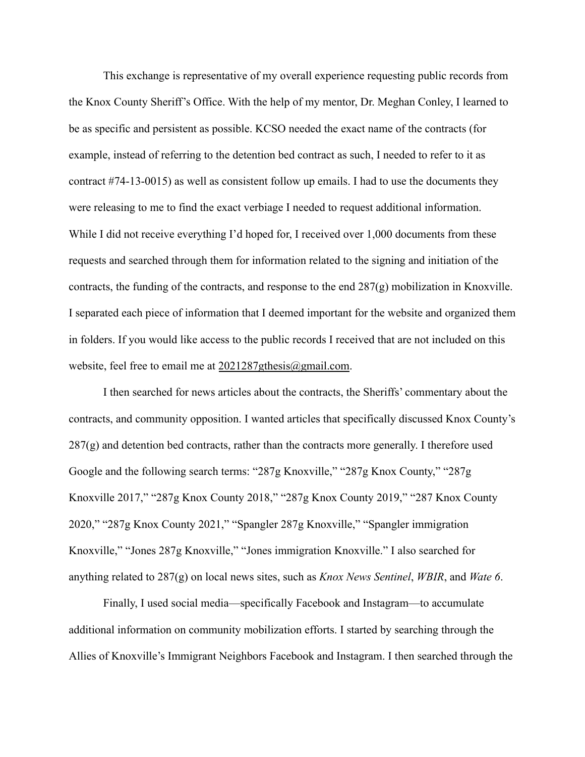This exchange is representative of my overall experience requesting public records from the Knox County Sheriff's Office. With the help of my mentor, Dr. Meghan Conley, I learned to be as specific and persistent as possible. KCSO needed the exact name of the contracts (for example, instead of referring to the detention bed contract as such, I needed to refer to it as contract #74-13-0015) as well as consistent follow up emails. I had to use the documents they were releasing to me to find the exact verbiage I needed to request additional information. While I did not receive everything I'd hoped for, I received over 1,000 documents from these requests and searched through them for information related to the signing and initiation of the contracts, the funding of the contracts, and response to the end 287(g) mobilization in Knoxville. I separated each piece of information that I deemed important for the website and organized them in folders. If you would like access to the public records I received that are not included on this website, feel free to email me at [2021287gthesis@gmail.com.](mailto:2021287gthesis@gmail.com)

I then searched for news articles about the contracts, the Sheriffs' commentary about the contracts, and community opposition. I wanted articles that specifically discussed Knox County's  $287(g)$  and detention bed contracts, rather than the contracts more generally. I therefore used Google and the following search terms: "287g Knoxville," "287g Knox County," "287g Knoxville 2017," "287g Knox County 2018," "287g Knox County 2019," "287 Knox County 2020," "287g Knox County 2021," "Spangler 287g Knoxville," "Spangler immigration Knoxville," "Jones 287g Knoxville," "Jones immigration Knoxville." I also searched for anything related to 287(g) on local news sites, such as *Knox News Sentinel*, *WBIR*, and *Wate 6*.

Finally, I used social media—specifically Facebook and Instagram—to accumulate additional information on community mobilization efforts. I started by searching through the Allies of Knoxville's Immigrant Neighbors [Facebook](https://www.facebook.com/alliesofknoxvillesimmigrantneighbors) and [Instagram](https://www.instagram.com/weareakin/?hl=en). I then searched through the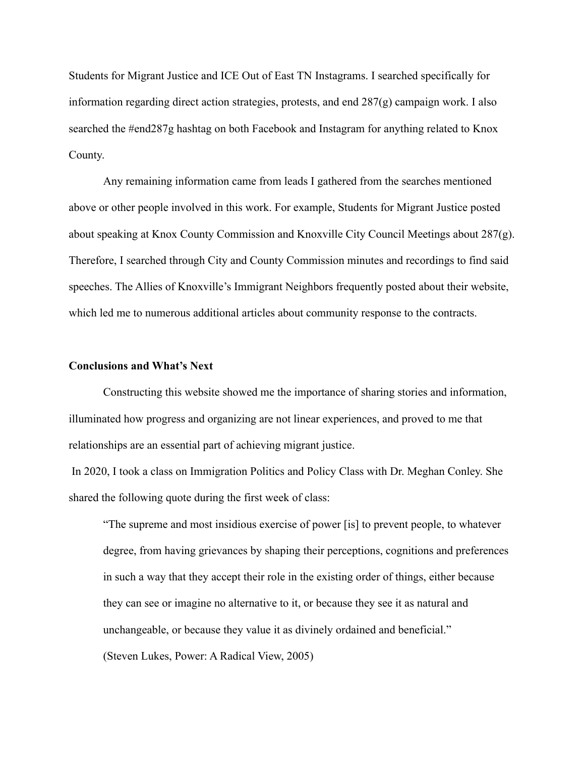[Students for Migrant Justice](https://www.instagram.com/utk_smj/?hl=en) and [ICE Out of East TN](https://www.instagram.com/iceoutofetn/?hl=en) Instagrams. I searched specifically for information regarding direct action strategies, protests, and end 287(g) campaign work. I also searched the #end287g hashtag on both Facebook and Instagram for anything related to Knox County.

Any remaining information came from leads I gathered from the searches mentioned above or other people involved in this work. For example, Students for Migrant Justice posted about speaking at Knox County Commission and Knoxville City Council Meetings about  $287(g)$ . Therefore, I searched through City and County Commission minutes and recordings to find said speeches. The Allies of Knoxville's Immigrant Neighbors frequently posted about their website, which led me to numerous additional articles about community response to the contracts.

#### **Conclusions and What's Next**

Constructing this website showed me the importance of sharing stories and information, illuminated how progress and organizing are not linear experiences, and proved to me that relationships are an essential part of achieving migrant justice.

In 2020, I took a class on Immigration Politics and Policy Class with Dr. Meghan Conley. She shared the following quote during the first week of class:

"The supreme and most insidious exercise of power [is] to prevent people, to whatever degree, from having grievances by shaping their perceptions, cognitions and preferences in such a way that they accept their role in the existing order of things, either because they can see or imagine no alternative to it, or because they see it as natural and unchangeable, or because they value it as divinely ordained and beneficial." (Steven Lukes, Power: A Radical View, 2005)